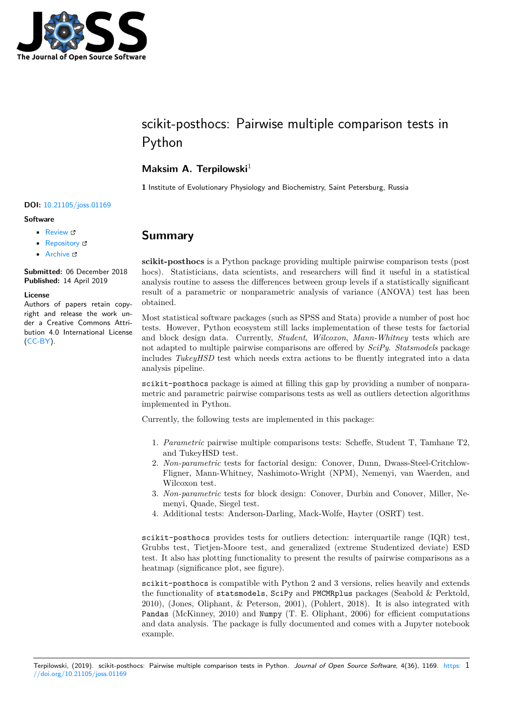

# scikit-posthocs: Pairwise multiple comparison tests in Python

### **Maksim A. Terpilowski**<sup>1</sup>

**1** Institute of Evolutionary Physiology and Biochemistry, Saint Petersburg, Russia

#### **DOI:** 10.21105/joss.01169

#### **Software**

- Review &
- [Repository](https://doi.org/10.21105/joss.01169) &
- Archive C

**Subm[itted:](https://github.com/openjournals/joss-reviews/issues/1169)** 06 December 2018 **Published:** [14 Ap](https://github.com/maximtrp/scikit-posthocs)ril 2019

#### **Licen[se](https://doi.org/10.5281/zenodo.2639732)**

Authors of papers retain copyright and release the work under a Creative Commons Attribution 4.0 International License (CC-BY).

## **Summary**

**scikit-posthocs** is a Python package providing multiple pairwise comparison tests (post hocs). Statisticians, data scientists, and researchers will find it useful in a statistical analysis routine to assess the differences between group levels if a statistically significant result of a parametric or nonparametric analysis of variance (ANOVA) test has been obtained.

Most statistical software packages (such as SPSS and Stata) provide a number of post hoc tests. However, Python ecosystem still lacks implementation of these tests for factorial and block design data. Currently, *Student*, *Wilcoxon*, *Mann-Whitney* tests which are not adapted to multiple pairwise comparisons are offered by *SciPy*. *Statsmodels* package includes *TukeyHSD* test which needs extra actions to be fluently integrated into a data analysis pipeline.

scikit-posthocs package is aimed at filling this gap by providing a number of nonparametric and parametric pairwise comparisons tests as well as outliers detection algorithms implemented in Python.

Currently, the following tests are implemented in this package:

- 1. *Parametric* pairwise multiple comparisons tests: Scheffe, Student T, Tamhane T2, and TukeyHSD test.
- 2. *Non-parametric* tests for factorial design: Conover, Dunn, Dwass-Steel-Critchlow-Fligner, Mann-Whitney, Nashimoto-Wright (NPM), Nemenyi, van Waerden, and Wilcoxon test.
- 3. *Non-parametric* tests for block design: Conover, Durbin and Conover, Miller, Nemenyi, Quade, Siegel test.
- 4. Additional tests: Anderson-Darling, Mack-Wolfe, Hayter (OSRT) test.

scikit-posthocs provides tests for outliers detection: interquartile range (IQR) test, Grubbs test, Tietjen-Moore test, and generalized (extreme Studentized deviate) ESD test. It also has plotting functionality to present the results of pairwise comparisons as a heatmap (significance plot, see figure).

scikit-posthocs is compatible with Python 2 and 3 versions, relies heavily and extends the functionality of statsmodels, SciPy and PMCMRplus packages (Seabold & Perktold, 2010), (Jones, Oliphant, & Peterson, 2001), (Pohlert, 2018). It is also integrated with Pandas (McKinney, 2010) and Numpy (T. E. Oliphant, 2006) for efficient computations and data analysis. The package is fully documented and comes with a Jupyter notebook example.